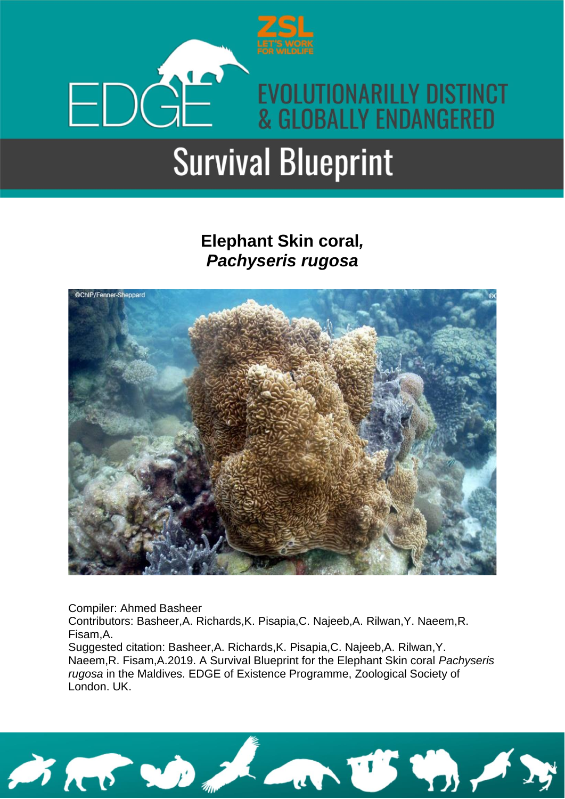

### **Elephant Skin coral***, Pachyseris rugosa*



Compiler: Ahmed Basheer

Contributors: Basheer,A. Richards,K. Pisapia,C. Najeeb,A. Rilwan,Y. Naeem,R. Fisam,A.

Suggested citation: Basheer,A. Richards,K. Pisapia,C. Najeeb,A. Rilwan,Y. Naeem,R. Fisam,A.2019. A Survival Blueprint for the Elephant Skin coral *Pachyseris rugosa* in the Maldives. EDGE of Existence Programme, Zoological Society of London. UK.

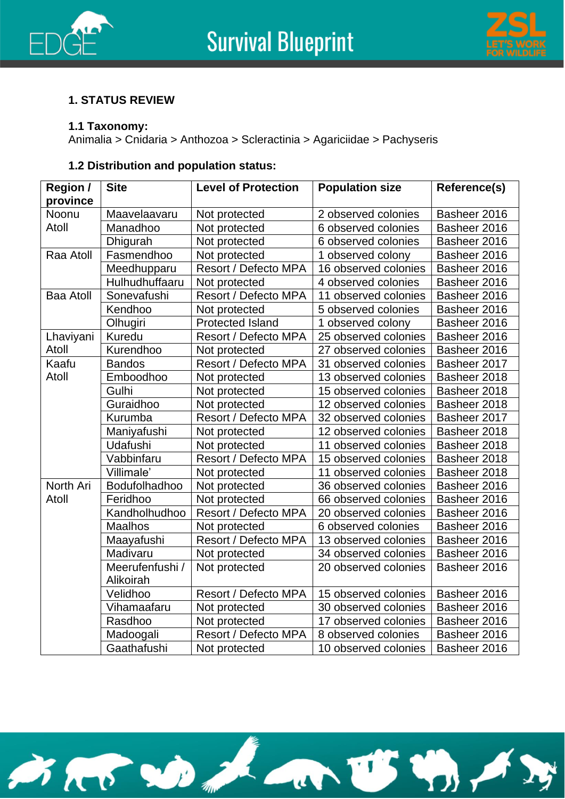



### **1. STATUS REVIEW**

### **1.1 Taxonomy:**

Animalia > Cnidaria > Anthozoa > Scleractinia > Agariciidae > Pachyseris

### **1.2 Distribution and population status:**

| <b>Region /</b>  | <b>Site</b>     | <b>Level of Protection</b>  | <b>Population size</b> | Reference(s) |
|------------------|-----------------|-----------------------------|------------------------|--------------|
| province         |                 |                             |                        |              |
| Noonu            | Maavelaavaru    | Not protected               | 2 observed colonies    | Basheer 2016 |
| Atoll            | Manadhoo        | Not protected               | 6 observed colonies    | Basheer 2016 |
|                  | Dhigurah        | Not protected               | 6 observed colonies    | Basheer 2016 |
| Raa Atoll        | Fasmendhoo      | Not protected               | 1 observed colony      | Basheer 2016 |
|                  | Meedhupparu     | Resort / Defecto MPA        | 16 observed colonies   | Basheer 2016 |
|                  | Hulhudhuffaaru  | Not protected               | 4 observed colonies    | Basheer 2016 |
| <b>Baa Atoll</b> | Sonevafushi     | Resort / Defecto MPA        | 11 observed colonies   | Basheer 2016 |
|                  | Kendhoo         | Not protected               | 5 observed colonies    | Basheer 2016 |
|                  | Olhugiri        | <b>Protected Island</b>     | 1 observed colony      | Basheer 2016 |
| Lhaviyani        | Kuredu          | Resort / Defecto MPA        | 25 observed colonies   | Basheer 2016 |
| Atoll            | Kurendhoo       | Not protected               | 27 observed colonies   | Basheer 2016 |
| Kaafu            | <b>Bandos</b>   | Resort / Defecto MPA        | 31 observed colonies   | Basheer 2017 |
| Atoll            | Emboodhoo       | Not protected               | 13 observed colonies   | Basheer 2018 |
|                  | Gulhi           | Not protected               | 15 observed colonies   | Basheer 2018 |
|                  | Guraidhoo       | Not protected               | 12 observed colonies   | Basheer 2018 |
|                  | Kurumba         | Resort / Defecto MPA        | 32 observed colonies   | Basheer 2017 |
|                  | Maniyafushi     | Not protected               | 12 observed colonies   | Basheer 2018 |
|                  | Udafushi        | Not protected               | 11 observed colonies   | Basheer 2018 |
|                  | Vabbinfaru      | Resort / Defecto MPA        | 15 observed colonies   | Basheer 2018 |
|                  | Villimale'      | Not protected               | 11 observed colonies   | Basheer 2018 |
| North Ari        | Bodufolhadhoo   | Not protected               | 36 observed colonies   | Basheer 2016 |
| Atoll            | Feridhoo        | Not protected               | 66 observed colonies   | Basheer 2016 |
|                  | Kandholhudhoo   | Resort / Defecto MPA        | 20 observed colonies   | Basheer 2016 |
|                  | <b>Maalhos</b>  | Not protected               | 6 observed colonies    | Basheer 2016 |
|                  | Maayafushi      | Resort / Defecto MPA        | 13 observed colonies   | Basheer 2016 |
|                  | Madivaru        | Not protected               | 34 observed colonies   | Basheer 2016 |
|                  | Meerufenfushi / | Not protected               | 20 observed colonies   | Basheer 2016 |
|                  | Alikoirah       |                             |                        |              |
|                  | Velidhoo        | <b>Resort / Defecto MPA</b> | 15 observed colonies   | Basheer 2016 |
|                  | Vihamaafaru     | Not protected               | 30 observed colonies   | Basheer 2016 |
|                  | Rasdhoo         | Not protected               | 17 observed colonies   | Basheer 2016 |
|                  | Madoogali       | Resort / Defecto MPA        | 8 observed colonies    | Basheer 2016 |
|                  | Gaathafushi     | Not protected               | 10 observed colonies   | Basheer 2016 |

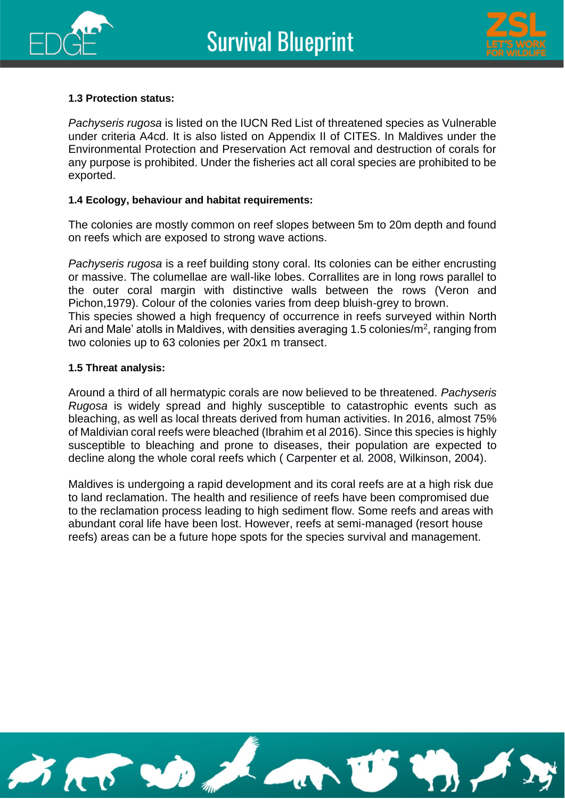



### **1.3 Protection status:**

*Pachyseris rugosa* is listed on the IUCN Red List of threatened species as Vulnerable under criteria A4cd. It is also listed on Appendix II of CITES. In Maldives under the Environmental Protection and Preservation Act removal and destruction of corals for any purpose is prohibited. Under the fisheries act all coral species are prohibited to be exported.

### **1.4 Ecology, behaviour and habitat requirements:**

The colonies are mostly common on reef slopes between 5m to 20m depth and found on reefs which are exposed to strong wave actions.

*Pachyseris rugosa* is a reef building stony coral. Its colonies can be either encrusting or massive. The columellae are wall-like lobes. Corrallites are in long rows parallel to the outer coral margin with distinctive walls between the rows (Veron and Pichon,1979). Colour of the colonies varies from deep bluish-grey to brown. This species showed a high frequency of occurrence in reefs surveyed within North

Ari and Male' atolls in Maldives, with densities averaging 1.5 colonies/ $m^2$ , ranging from two colonies up to 63 colonies per 20x1 m transect.

### **1.5 Threat analysis:**

Around a third of all hermatypic corals are now believed to be threatened. *Pachyseris Rugosa* is widely spread and highly susceptible to catastrophic events such as bleaching, as well as local threats derived from human activities. In 2016, almost 75% of Maldivian coral reefs were bleached (Ibrahim et al 2016). Since this species is highly susceptible to bleaching and prone to diseases, their population are expected to decline along the whole coral reefs which ( Carpenter et al*.* 2008, Wilkinson, 2004).

Maldives is undergoing a rapid development and its coral reefs are at a high risk due to land reclamation. The health and resilience of reefs have been compromised due to the reclamation process leading to high sediment flow. Some reefs and areas with abundant coral life have been lost. However, reefs at semi-managed (resort house reefs) areas can be a future hope spots for the species survival and management.

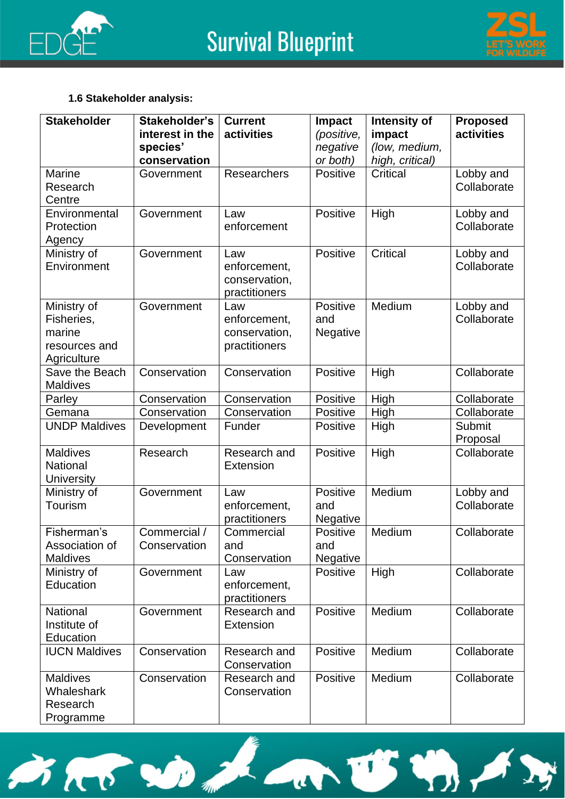



### **1.6 Stakeholder analysis:**

BRB DA

| <b>Stakeholder</b>   | Stakeholder's   | <b>Current</b>   | Impact          | Intensity of    | <b>Proposed</b> |
|----------------------|-----------------|------------------|-----------------|-----------------|-----------------|
|                      | interest in the | activities       | (positive,      | impact          | activities      |
|                      | species'        |                  | negative        | (low, medium,   |                 |
|                      | conservation    |                  | or both)        | high, critical) |                 |
| Marine               | Government      | Researchers      | Positive        | Critical        | Lobby and       |
| Research             |                 |                  |                 |                 | Collaborate     |
| Centre               |                 |                  |                 |                 |                 |
| Environmental        | Government      | Law              | Positive        | High            | Lobby and       |
| Protection           |                 | enforcement      |                 |                 | Collaborate     |
| Agency               |                 |                  |                 |                 |                 |
| Ministry of          | Government      | Law              | Positive        | Critical        | Lobby and       |
| Environment          |                 | enforcement,     |                 |                 | Collaborate     |
|                      |                 | conservation,    |                 |                 |                 |
|                      |                 | practitioners    |                 |                 |                 |
| Ministry of          | Government      | Law              | Positive        | Medium          | Lobby and       |
| Fisheries,           |                 | enforcement,     | and             |                 | Collaborate     |
| marine               |                 | conservation,    | Negative        |                 |                 |
| resources and        |                 | practitioners    |                 |                 |                 |
| Agriculture          |                 |                  |                 |                 |                 |
| Save the Beach       | Conservation    | Conservation     | Positive        | High            | Collaborate     |
| <b>Maldives</b>      |                 |                  |                 |                 |                 |
| Parley               | Conservation    | Conservation     | Positive        | High            | Collaborate     |
| Gemana               | Conservation    | Conservation     | Positive        | High            | Collaborate     |
| <b>UNDP Maldives</b> | Development     | Funder           | Positive        | High            | Submit          |
|                      |                 |                  |                 |                 | Proposal        |
| <b>Maldives</b>      | Research        | Research and     | Positive        | High            | Collaborate     |
| National             |                 | <b>Extension</b> |                 |                 |                 |
| <b>University</b>    |                 |                  |                 |                 |                 |
| Ministry of          | Government      | Law              | Positive        | Medium          | Lobby and       |
| <b>Tourism</b>       |                 | enforcement,     | and             |                 | Collaborate     |
|                      |                 | practitioners    | Negative        |                 |                 |
| Fisherman's          | Commercial /    | Commercial       | Positive        | Medium          | Collaborate     |
| Association of       | Conservation    | and              | and             |                 |                 |
| <b>Maldives</b>      |                 | Conservation     | Negative        |                 |                 |
| Ministry of          | Government      | Law              | <b>Positive</b> | High            | Collaborate     |
| Education            |                 | enforcement,     |                 |                 |                 |
|                      |                 | practitioners    |                 |                 |                 |
| National             | Government      | Research and     | Positive        | Medium          | Collaborate     |
| Institute of         |                 | <b>Extension</b> |                 |                 |                 |
| Education            |                 |                  |                 |                 |                 |
| <b>IUCN Maldives</b> | Conservation    | Research and     | Positive        | Medium          | Collaborate     |
|                      |                 | Conservation     |                 |                 |                 |
| <b>Maldives</b>      | Conservation    | Research and     | Positive        | Medium          | Collaborate     |
| Whaleshark           |                 | Conservation     |                 |                 |                 |
| Research             |                 |                  |                 |                 |                 |
| Programme            |                 |                  |                 |                 |                 |

 $\overline{u}$ 

US VA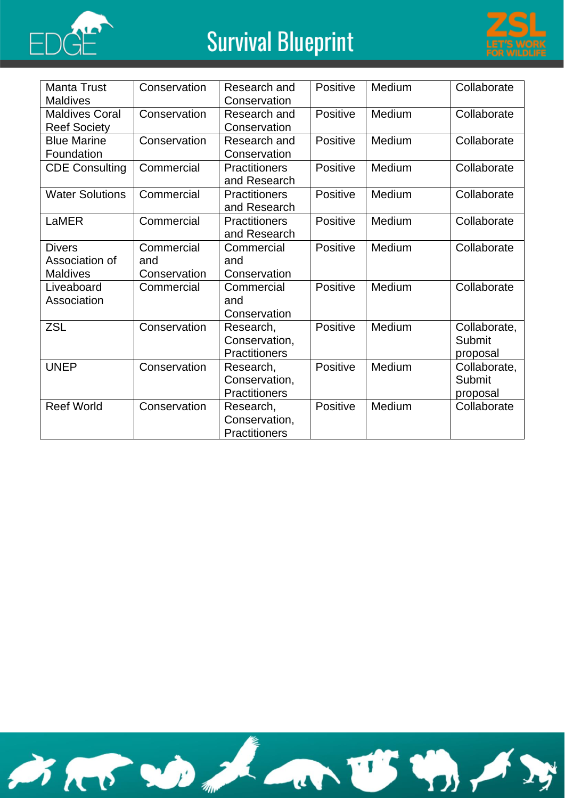



| <b>Manta Trust</b>     | Conservation | Research and         | Positive        | Medium | Collaborate  |
|------------------------|--------------|----------------------|-----------------|--------|--------------|
| <b>Maldives</b>        |              | Conservation         |                 |        |              |
| <b>Maldives Coral</b>  | Conservation | Research and         | <b>Positive</b> | Medium | Collaborate  |
| <b>Reef Society</b>    |              | Conservation         |                 |        |              |
| <b>Blue Marine</b>     | Conservation | Research and         | <b>Positive</b> | Medium | Collaborate  |
| Foundation             |              | Conservation         |                 |        |              |
| <b>CDE Consulting</b>  | Commercial   | <b>Practitioners</b> | Positive        | Medium | Collaborate  |
|                        |              | and Research         |                 |        |              |
| <b>Water Solutions</b> | Commercial   | <b>Practitioners</b> | Positive        | Medium | Collaborate  |
|                        |              | and Research         |                 |        |              |
| LaMER                  | Commercial   | <b>Practitioners</b> | Positive        | Medium | Collaborate  |
|                        |              | and Research         |                 |        |              |
| <b>Divers</b>          | Commercial   | Commercial           | <b>Positive</b> | Medium | Collaborate  |
| Association of         | and          | and                  |                 |        |              |
| <b>Maldives</b>        | Conservation | Conservation         |                 |        |              |
| Liveaboard             | Commercial   | Commercial           | Positive        | Medium | Collaborate  |
| Association            |              | and                  |                 |        |              |
|                        |              | Conservation         |                 |        |              |
| <b>ZSL</b>             | Conservation | Research,            | Positive        | Medium | Collaborate, |
|                        |              | Conservation,        |                 |        | Submit       |
|                        |              | <b>Practitioners</b> |                 |        | proposal     |
| <b>UNEP</b>            | Conservation | Research,            | Positive        | Medium | Collaborate, |
|                        |              | Conservation,        |                 |        | Submit       |
|                        |              | <b>Practitioners</b> |                 |        | proposal     |
| <b>Reef World</b>      | Conservation | Research,            | Positive        | Medium | Collaborate  |
|                        |              | Conservation,        |                 |        |              |
|                        |              | <b>Practitioners</b> |                 |        |              |

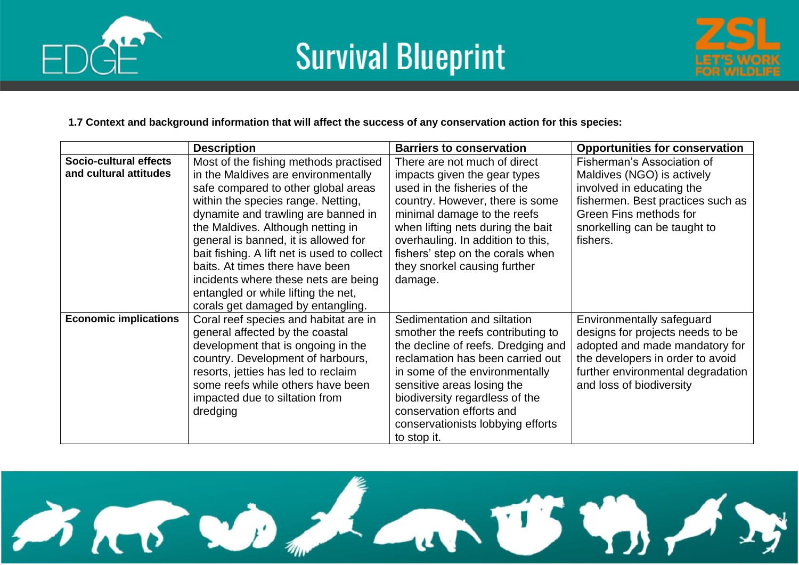





#### **1.7 Context and background information that will affect the success of any conservation action for this species:**

|                              | <b>Description</b>                          | <b>Barriers to conservation</b>    | <b>Opportunities for conservation</b> |
|------------------------------|---------------------------------------------|------------------------------------|---------------------------------------|
| Socio-cultural effects       | Most of the fishing methods practised       | There are not much of direct       | Fisherman's Association of            |
| and cultural attitudes       | in the Maldives are environmentally         | impacts given the gear types       | Maldives (NGO) is actively            |
|                              | safe compared to other global areas         | used in the fisheries of the       | involved in educating the             |
|                              | within the species range. Netting,          | country. However, there is some    | fishermen. Best practices such as     |
|                              | dynamite and trawling are banned in         | minimal damage to the reefs        | Green Fins methods for                |
|                              | the Maldives. Although netting in           | when lifting nets during the bait  | snorkelling can be taught to          |
|                              | general is banned, it is allowed for        | overhauling. In addition to this,  | fishers.                              |
|                              | bait fishing. A lift net is used to collect | fishers' step on the corals when   |                                       |
|                              | baits. At times there have been             | they snorkel causing further       |                                       |
|                              | incidents where these nets are being        | damage.                            |                                       |
|                              | entangled or while lifting the net,         |                                    |                                       |
|                              | corals get damaged by entangling.           |                                    |                                       |
| <b>Economic implications</b> | Coral reef species and habitat are in       | Sedimentation and siltation        | Environmentally safeguard             |
|                              | general affected by the coastal             | smother the reefs contributing to  | designs for projects needs to be      |
|                              | development that is ongoing in the          | the decline of reefs. Dredging and | adopted and made mandatory for        |
|                              | country. Development of harbours,           | reclamation has been carried out   | the developers in order to avoid      |
|                              | resorts, jetties has led to reclaim         | in some of the environmentally     | further environmental degradation     |
|                              | some reefs while others have been           | sensitive areas losing the         | and loss of biodiversity              |
|                              | impacted due to siltation from              | biodiversity regardless of the     |                                       |
|                              | dredging                                    | conservation efforts and           |                                       |
|                              |                                             | conservationists lobbying efforts  |                                       |
|                              |                                             | to stop it.                        |                                       |

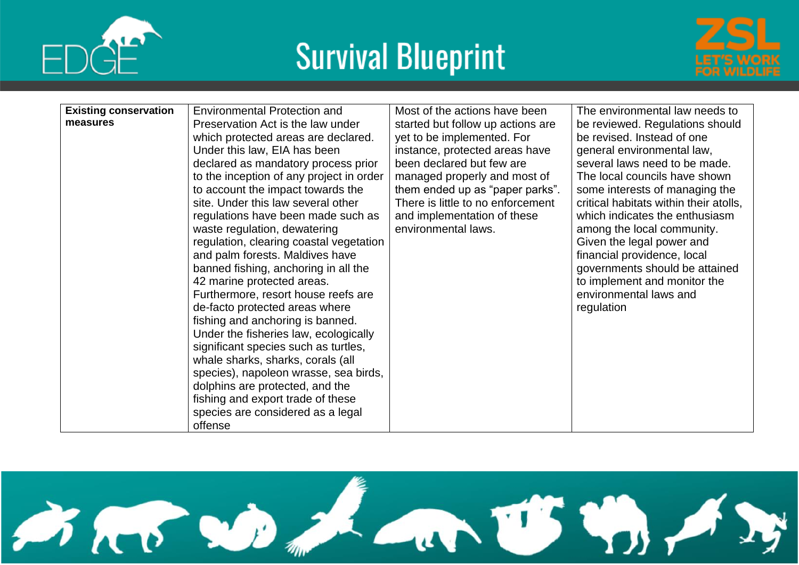



| <b>Existing conservation</b> | <b>Environmental Protection and</b>      | Most of the actions have been     | The environmental law needs to         |
|------------------------------|------------------------------------------|-----------------------------------|----------------------------------------|
| measures                     | Preservation Act is the law under        | started but follow up actions are | be reviewed. Regulations should        |
|                              | which protected areas are declared.      | yet to be implemented. For        | be revised. Instead of one             |
|                              | Under this law, EIA has been             | instance, protected areas have    | general environmental law,             |
|                              | declared as mandatory process prior      | been declared but few are         | several laws need to be made.          |
|                              | to the inception of any project in order | managed properly and most of      | The local councils have shown          |
|                              | to account the impact towards the        | them ended up as "paper parks".   | some interests of managing the         |
|                              | site. Under this law several other       | There is little to no enforcement | critical habitats within their atolls, |
|                              | regulations have been made such as       | and implementation of these       | which indicates the enthusiasm         |
|                              | waste regulation, dewatering             | environmental laws.               | among the local community.             |
|                              | regulation, clearing coastal vegetation  |                                   | Given the legal power and              |
|                              | and palm forests. Maldives have          |                                   | financial providence, local            |
|                              | banned fishing, anchoring in all the     |                                   | governments should be attained         |
|                              | 42 marine protected areas.               |                                   | to implement and monitor the           |
|                              | Furthermore, resort house reefs are      |                                   | environmental laws and                 |
|                              | de-facto protected areas where           |                                   | regulation                             |
|                              | fishing and anchoring is banned.         |                                   |                                        |
|                              | Under the fisheries law, ecologically    |                                   |                                        |
|                              | significant species such as turtles,     |                                   |                                        |
|                              | whale sharks, sharks, corals (all        |                                   |                                        |
|                              | species), napoleon wrasse, sea birds,    |                                   |                                        |
|                              | dolphins are protected, and the          |                                   |                                        |
|                              | fishing and export trade of these        |                                   |                                        |
|                              | species are considered as a legal        |                                   |                                        |
|                              | offense                                  |                                   |                                        |

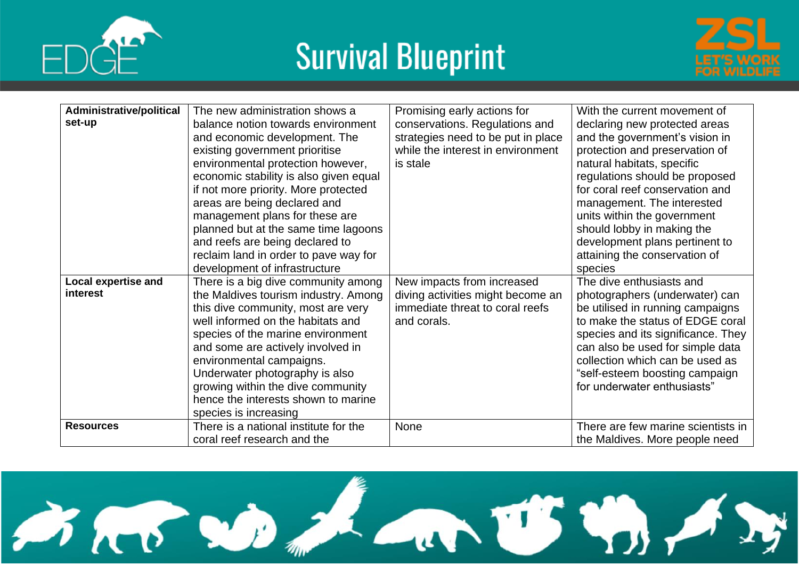





| Administrative/political   | The new administration shows a         | Promising early actions for        | With the current movement of       |
|----------------------------|----------------------------------------|------------------------------------|------------------------------------|
| set-up                     | balance notion towards environment     | conservations. Regulations and     | declaring new protected areas      |
|                            | and economic development. The          | strategies need to be put in place | and the government's vision in     |
|                            | existing government prioritise         | while the interest in environment  | protection and preservation of     |
|                            | environmental protection however,      | is stale                           | natural habitats, specific         |
|                            | economic stability is also given equal |                                    | regulations should be proposed     |
|                            | if not more priority. More protected   |                                    | for coral reef conservation and    |
|                            | areas are being declared and           |                                    | management. The interested         |
|                            | management plans for these are         |                                    | units within the government        |
|                            | planned but at the same time lagoons   |                                    | should lobby in making the         |
|                            | and reefs are being declared to        |                                    | development plans pertinent to     |
|                            | reclaim land in order to pave way for  |                                    | attaining the conservation of      |
|                            | development of infrastructure          |                                    | species                            |
| <b>Local expertise and</b> | There is a big dive community among    | New impacts from increased         | The dive enthusiasts and           |
| interest                   | the Maldives tourism industry. Among   | diving activities might become an  | photographers (underwater) can     |
|                            | this dive community, most are very     | immediate threat to coral reefs    | be utilised in running campaigns   |
|                            | well informed on the habitats and      | and corals.                        | to make the status of EDGE coral   |
|                            | species of the marine environment      |                                    | species and its significance. They |
|                            | and some are actively involved in      |                                    | can also be used for simple data   |
|                            | environmental campaigns.               |                                    | collection which can be used as    |
|                            | Underwater photography is also         |                                    | "self-esteem boosting campaign     |
|                            | growing within the dive community      |                                    | for underwater enthusiasts"        |
|                            | hence the interests shown to marine    |                                    |                                    |
|                            | species is increasing                  |                                    |                                    |
| <b>Resources</b>           | There is a national institute for the  | None                               | There are few marine scientists in |
|                            | coral reef research and the            |                                    | the Maldives. More people need     |

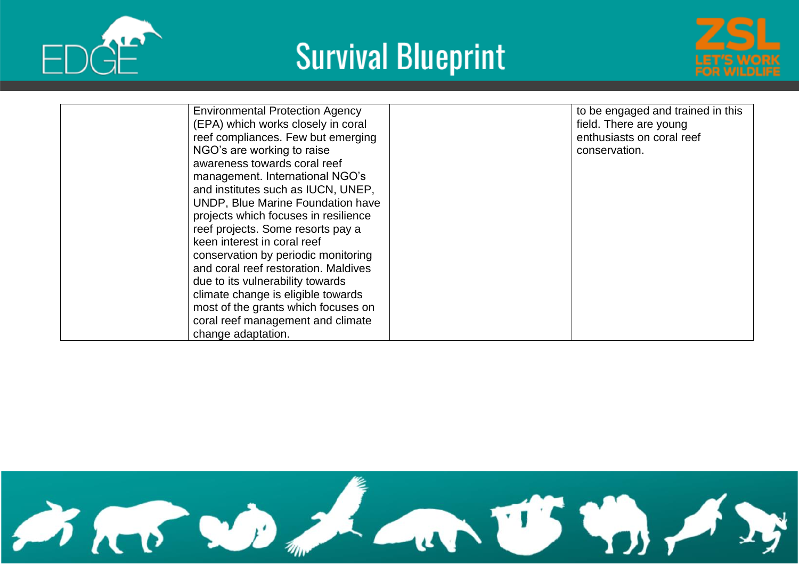





| <b>Environmental Protection Agency</b><br>(EPA) which works closely in coral<br>reef compliances. Few but emerging<br>NGO's are working to raise<br>awareness towards coral reef<br>management. International NGO's<br>and institutes such as IUCN, UNEP,<br><b>UNDP, Blue Marine Foundation have</b><br>projects which focuses in resilience<br>reef projects. Some resorts pay a<br>keen interest in coral reef<br>conservation by periodic monitoring | to be engaged and trained in this<br>field. There are young<br>enthusiasts on coral reef<br>conservation. |
|----------------------------------------------------------------------------------------------------------------------------------------------------------------------------------------------------------------------------------------------------------------------------------------------------------------------------------------------------------------------------------------------------------------------------------------------------------|-----------------------------------------------------------------------------------------------------------|
| and coral reef restoration. Maldives                                                                                                                                                                                                                                                                                                                                                                                                                     |                                                                                                           |
| due to its vulnerability towards<br>climate change is eligible towards<br>most of the grants which focuses on                                                                                                                                                                                                                                                                                                                                            |                                                                                                           |
| coral reef management and climate<br>change adaptation.                                                                                                                                                                                                                                                                                                                                                                                                  |                                                                                                           |

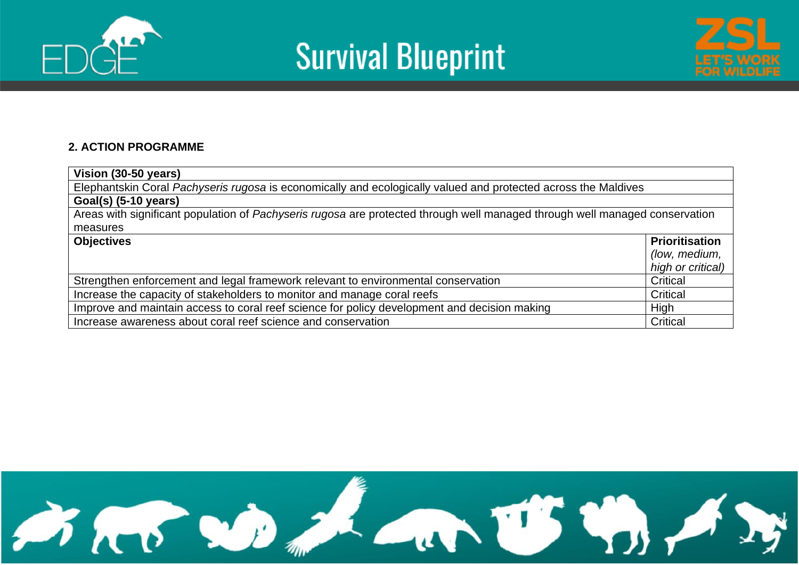





### **2. ACTION PROGRAMME**

| Vision (30-50 years)                                                                                                        |                   |  |  |  |  |  |  |
|-----------------------------------------------------------------------------------------------------------------------------|-------------------|--|--|--|--|--|--|
| Elephantskin Coral Pachyseris rugosa is economically and ecologically valued and protected across the Maldives              |                   |  |  |  |  |  |  |
| Goal(s) (5-10 years)                                                                                                        |                   |  |  |  |  |  |  |
| Areas with significant population of Pachyseris rugosa are protected through well managed through well managed conservation |                   |  |  |  |  |  |  |
| measures                                                                                                                    |                   |  |  |  |  |  |  |
| <b>Objectives</b>                                                                                                           |                   |  |  |  |  |  |  |
|                                                                                                                             | (low, medium,     |  |  |  |  |  |  |
|                                                                                                                             | high or critical) |  |  |  |  |  |  |
| Strengthen enforcement and legal framework relevant to environmental conservation                                           | Critical          |  |  |  |  |  |  |
| Increase the capacity of stakeholders to monitor and manage coral reefs                                                     | Critical          |  |  |  |  |  |  |
| Improve and maintain access to coral reef science for policy development and decision making<br>High                        |                   |  |  |  |  |  |  |
| Increase awareness about coral reef science and conservation                                                                | Critical          |  |  |  |  |  |  |

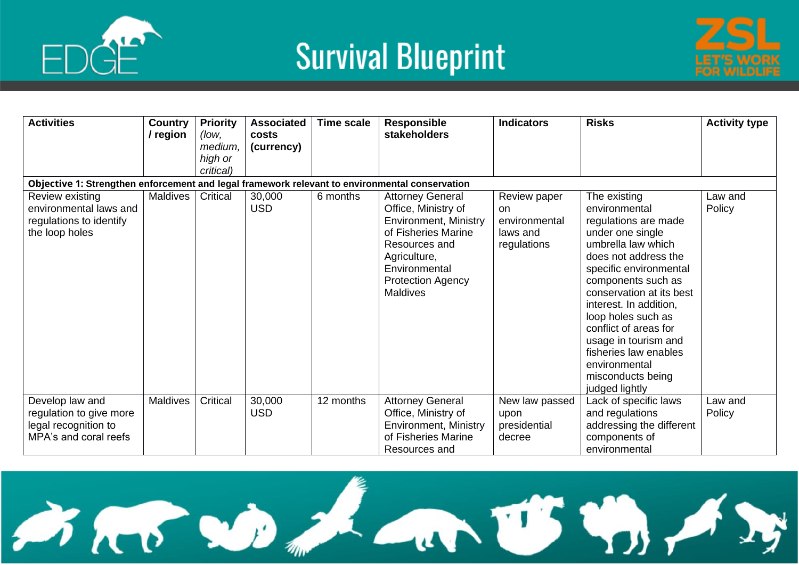





| <b>Activities</b>                                                                              | <b>Country</b><br>/ region | <b>Priority</b><br>(low,<br>medium.<br>high or<br>critical) | <b>Associated</b><br>costs<br>(currency) | <b>Time scale</b> | <b>Responsible</b><br><b>stakeholders</b>                                                                                                                                                              | <b>Indicators</b>                                                     | <b>Risks</b>                                                                                                                                                                                                                                                                                                                                                                          | <b>Activity type</b> |
|------------------------------------------------------------------------------------------------|----------------------------|-------------------------------------------------------------|------------------------------------------|-------------------|--------------------------------------------------------------------------------------------------------------------------------------------------------------------------------------------------------|-----------------------------------------------------------------------|---------------------------------------------------------------------------------------------------------------------------------------------------------------------------------------------------------------------------------------------------------------------------------------------------------------------------------------------------------------------------------------|----------------------|
| Objective 1: Strengthen enforcement and legal framework relevant to environmental conservation |                            |                                                             |                                          |                   |                                                                                                                                                                                                        |                                                                       |                                                                                                                                                                                                                                                                                                                                                                                       |                      |
| Review existing<br>environmental laws and<br>regulations to identify<br>the loop holes         | Maldives                   | Critical                                                    | 30,000<br><b>USD</b>                     | 6 months          | <b>Attorney General</b><br>Office, Ministry of<br><b>Environment, Ministry</b><br>of Fisheries Marine<br>Resources and<br>Agriculture,<br>Environmental<br><b>Protection Agency</b><br><b>Maldives</b> | Review paper<br><b>on</b><br>environmental<br>laws and<br>regulations | The existing<br>environmental<br>regulations are made<br>under one single<br>umbrella law which<br>does not address the<br>specific environmental<br>components such as<br>conservation at its best<br>interest. In addition,<br>loop holes such as<br>conflict of areas for<br>usage in tourism and<br>fisheries law enables<br>environmental<br>misconducts being<br>judged lightly | Law and<br>Policy    |
| Develop law and<br>regulation to give more<br>legal recognition to<br>MPA's and coral reefs    | <b>Maldives</b>            | Critical                                                    | 30,000<br><b>USD</b>                     | 12 months         | <b>Attorney General</b><br>Office, Ministry of<br><b>Environment, Ministry</b><br>of Fisheries Marine<br>Resources and                                                                                 | New law passed<br>upon<br>presidential<br>decree                      | Lack of specific laws<br>and regulations<br>addressing the different<br>components of<br>environmental                                                                                                                                                                                                                                                                                | Law and<br>Policy    |

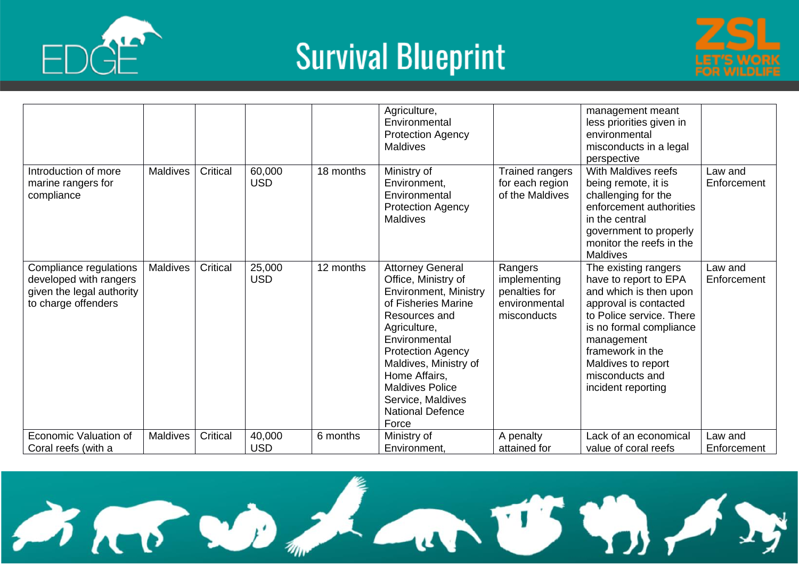



|                                                                                                      |                 |          |                      |           | Agriculture,<br>Environmental<br><b>Protection Agency</b><br><b>Maldives</b>                                                                                                                                                                                                                                     |                                                                          | management meant<br>less priorities given in<br>environmental<br>misconducts in a legal<br>perspective                                                                                                                                                   |                        |
|------------------------------------------------------------------------------------------------------|-----------------|----------|----------------------|-----------|------------------------------------------------------------------------------------------------------------------------------------------------------------------------------------------------------------------------------------------------------------------------------------------------------------------|--------------------------------------------------------------------------|----------------------------------------------------------------------------------------------------------------------------------------------------------------------------------------------------------------------------------------------------------|------------------------|
| Introduction of more<br>marine rangers for<br>compliance                                             | <b>Maldives</b> | Critical | 60,000<br><b>USD</b> | 18 months | Ministry of<br>Environment,<br>Environmental<br><b>Protection Agency</b><br><b>Maldives</b>                                                                                                                                                                                                                      | Trained rangers<br>for each region<br>of the Maldives                    | With Maldives reefs<br>being remote, it is<br>challenging for the<br>enforcement authorities<br>in the central<br>government to properly<br>monitor the reefs in the<br><b>Maldives</b>                                                                  | Law and<br>Enforcement |
| Compliance regulations<br>developed with rangers<br>given the legal authority<br>to charge offenders | Maldives        | Critical | 25,000<br><b>USD</b> | 12 months | <b>Attorney General</b><br>Office, Ministry of<br><b>Environment, Ministry</b><br>of Fisheries Marine<br>Resources and<br>Agriculture,<br>Environmental<br><b>Protection Agency</b><br>Maldives, Ministry of<br>Home Affairs,<br><b>Maldives Police</b><br>Service, Maldives<br><b>National Defence</b><br>Force | Rangers<br>implementing<br>penalties for<br>environmental<br>misconducts | The existing rangers<br>have to report to EPA<br>and which is then upon<br>approval is contacted<br>to Police service. There<br>is no formal compliance<br>management<br>framework in the<br>Maldives to report<br>misconducts and<br>incident reporting | Law and<br>Enforcement |
| Economic Valuation of<br>Coral reefs (with a                                                         | <b>Maldives</b> | Critical | 40,000<br><b>USD</b> | 6 months  | Ministry of<br>Environment,                                                                                                                                                                                                                                                                                      | A penalty<br>attained for                                                | Lack of an economical<br>value of coral reefs                                                                                                                                                                                                            | Law and<br>Enforcement |

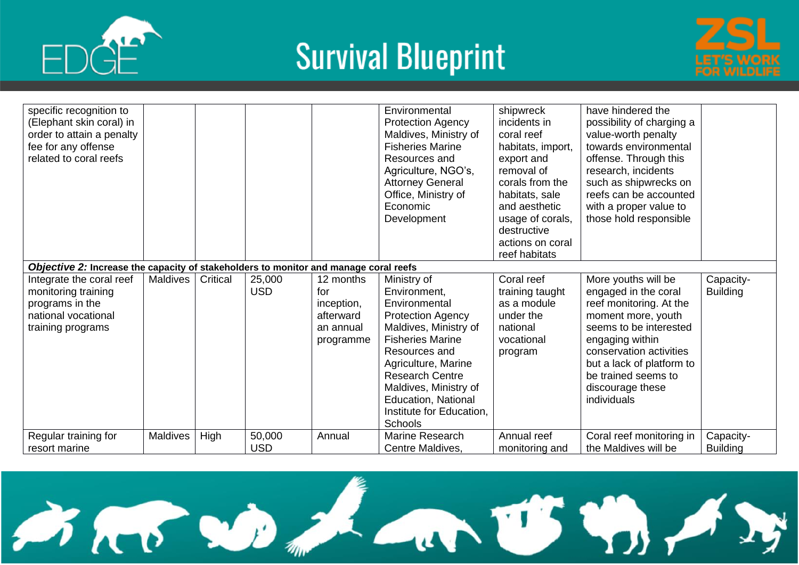



| specific recognition to<br>(Elephant skin coral) in<br>order to attain a penalty<br>fee for any offense<br>related to coral reefs |                 |          |                      |                                                                       | Environmental<br><b>Protection Agency</b><br>Maldives, Ministry of<br><b>Fisheries Marine</b><br>Resources and<br>Agriculture, NGO's,<br><b>Attorney General</b><br>Office, Ministry of<br>Economic<br>Development                                                                    | shipwreck<br>incidents in<br>coral reef<br>habitats, import,<br>export and<br>removal of<br>corals from the<br>habitats, sale<br>and aesthetic<br>usage of corals,<br>destructive<br>actions on coral<br>reef habitats | have hindered the<br>possibility of charging a<br>value-worth penalty<br>towards environmental<br>offense. Through this<br>research, incidents<br>such as shipwrecks on<br>reefs can be accounted<br>with a proper value to<br>those hold responsible       |                              |
|-----------------------------------------------------------------------------------------------------------------------------------|-----------------|----------|----------------------|-----------------------------------------------------------------------|---------------------------------------------------------------------------------------------------------------------------------------------------------------------------------------------------------------------------------------------------------------------------------------|------------------------------------------------------------------------------------------------------------------------------------------------------------------------------------------------------------------------|-------------------------------------------------------------------------------------------------------------------------------------------------------------------------------------------------------------------------------------------------------------|------------------------------|
| Objective 2: Increase the capacity of stakeholders to monitor and manage coral reefs                                              |                 |          |                      |                                                                       |                                                                                                                                                                                                                                                                                       |                                                                                                                                                                                                                        |                                                                                                                                                                                                                                                             |                              |
| Integrate the coral reef<br>monitoring training<br>programs in the<br>national vocational<br>training programs                    | Maldives        | Critical | 25,000<br><b>USD</b> | 12 months<br>for<br>inception,<br>afterward<br>an annual<br>programme | Ministry of<br>Environment,<br>Environmental<br><b>Protection Agency</b><br>Maldives, Ministry of<br><b>Fisheries Marine</b><br>Resources and<br>Agriculture, Marine<br><b>Research Centre</b><br>Maldives, Ministry of<br>Education, National<br>Institute for Education,<br>Schools | Coral reef<br>training taught<br>as a module<br>under the<br>national<br>vocational<br>program                                                                                                                         | More youths will be<br>engaged in the coral<br>reef monitoring. At the<br>moment more, youth<br>seems to be interested<br>engaging within<br>conservation activities<br>but a lack of platform to<br>be trained seems to<br>discourage these<br>individuals | Capacity-<br><b>Building</b> |
| Regular training for                                                                                                              | <b>Maldives</b> | High     | 50,000               | Annual                                                                | Marine Research                                                                                                                                                                                                                                                                       | Annual reef                                                                                                                                                                                                            | Coral reef monitoring in                                                                                                                                                                                                                                    | Capacity-                    |
| resort marine                                                                                                                     |                 |          | <b>USD</b>           |                                                                       | Centre Maldives,                                                                                                                                                                                                                                                                      | monitoring and                                                                                                                                                                                                         | the Maldives will be                                                                                                                                                                                                                                        | <b>Building</b>              |

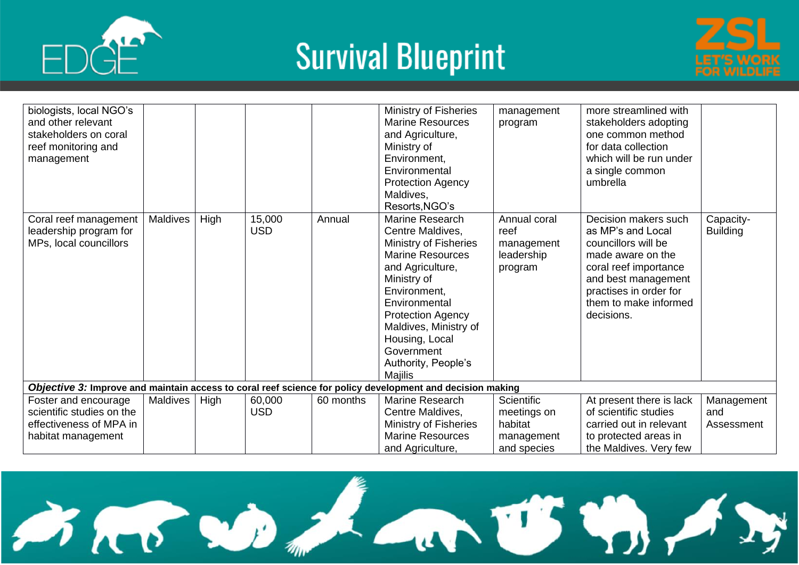



| biologists, local NGO's<br>and other relevant<br>stakeholders on coral<br>reef monitoring and<br>management |                 |      |                      |           | Ministry of Fisheries<br><b>Marine Resources</b><br>and Agriculture,<br>Ministry of<br>Environment,<br>Environmental<br><b>Protection Agency</b><br>Maldives,<br>Resorts, NGO's                                                                                                           | management<br>program                                             | more streamlined with<br>stakeholders adopting<br>one common method<br>for data collection<br>which will be run under<br>a single common<br>umbrella                                                   |                                 |
|-------------------------------------------------------------------------------------------------------------|-----------------|------|----------------------|-----------|-------------------------------------------------------------------------------------------------------------------------------------------------------------------------------------------------------------------------------------------------------------------------------------------|-------------------------------------------------------------------|--------------------------------------------------------------------------------------------------------------------------------------------------------------------------------------------------------|---------------------------------|
| Coral reef management<br>leadership program for<br>MPs, local councillors                                   | Maldives        | High | 15,000<br><b>USD</b> | Annual    | <b>Marine Research</b><br>Centre Maldives,<br>Ministry of Fisheries<br><b>Marine Resources</b><br>and Agriculture,<br>Ministry of<br>Environment,<br>Environmental<br><b>Protection Agency</b><br>Maldives, Ministry of<br>Housing, Local<br>Government<br>Authority, People's<br>Majilis | Annual coral<br>reef<br>management<br>leadership<br>program       | Decision makers such<br>as MP's and Local<br>councillors will be<br>made aware on the<br>coral reef importance<br>and best management<br>practises in order for<br>them to make informed<br>decisions. | Capacity-<br><b>Building</b>    |
| Objective 3: Improve and maintain access to coral reef science for policy development and decision making   |                 |      |                      |           |                                                                                                                                                                                                                                                                                           |                                                                   |                                                                                                                                                                                                        |                                 |
| Foster and encourage<br>scientific studies on the<br>effectiveness of MPA in<br>habitat management          | <b>Maldives</b> | High | 60,000<br><b>USD</b> | 60 months | Marine Research<br>Centre Maldives,<br>Ministry of Fisheries<br><b>Marine Resources</b><br>and Agriculture,                                                                                                                                                                               | Scientific<br>meetings on<br>habitat<br>management<br>and species | At present there is lack<br>of scientific studies<br>carried out in relevant<br>to protected areas in<br>the Maldives. Very few                                                                        | Management<br>and<br>Assessment |

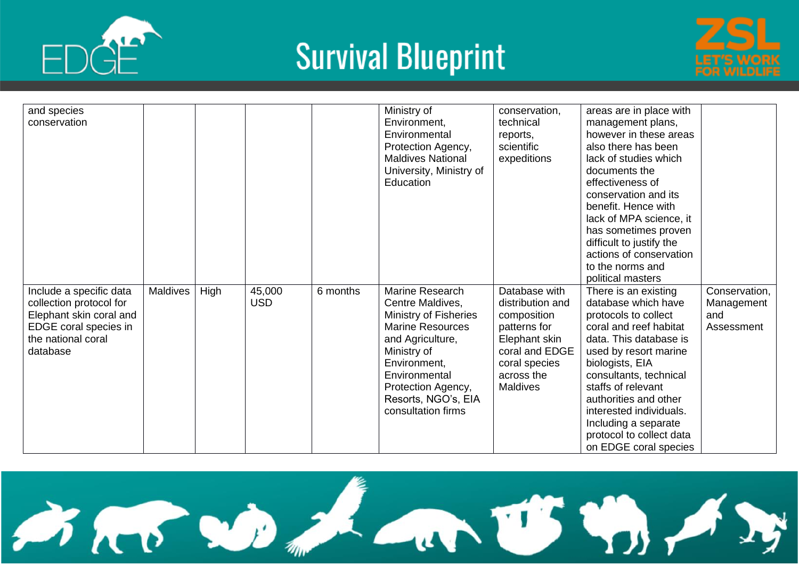





| and species<br>conservation                                                                                                              |                 |      |                      |          | Ministry of<br>Environment,<br>Environmental<br>Protection Agency,<br><b>Maldives National</b><br>University, Ministry of<br>Education                                                                                         | conservation,<br>technical<br>reports,<br>scientific<br>expeditions                                                                                   | areas are in place with<br>management plans,<br>however in these areas<br>also there has been<br>lack of studies which<br>documents the<br>effectiveness of<br>conservation and its<br>benefit. Hence with<br>lack of MPA science, it<br>has sometimes proven<br>difficult to justify the<br>actions of conservation<br>to the norms and<br>political masters |                                                  |
|------------------------------------------------------------------------------------------------------------------------------------------|-----------------|------|----------------------|----------|--------------------------------------------------------------------------------------------------------------------------------------------------------------------------------------------------------------------------------|-------------------------------------------------------------------------------------------------------------------------------------------------------|---------------------------------------------------------------------------------------------------------------------------------------------------------------------------------------------------------------------------------------------------------------------------------------------------------------------------------------------------------------|--------------------------------------------------|
| Include a specific data<br>collection protocol for<br>Elephant skin coral and<br>EDGE coral species in<br>the national coral<br>database | <b>Maldives</b> | High | 45,000<br><b>USD</b> | 6 months | Marine Research<br>Centre Maldives,<br>Ministry of Fisheries<br><b>Marine Resources</b><br>and Agriculture,<br>Ministry of<br>Environment,<br>Environmental<br>Protection Agency,<br>Resorts, NGO's, EIA<br>consultation firms | Database with<br>distribution and<br>composition<br>patterns for<br>Elephant skin<br>coral and EDGE<br>coral species<br>across the<br><b>Maldives</b> | There is an existing<br>database which have<br>protocols to collect<br>coral and reef habitat<br>data. This database is<br>used by resort marine<br>biologists, EIA<br>consultants, technical<br>staffs of relevant<br>authorities and other<br>interested individuals.<br>Including a separate<br>protocol to collect data<br>on EDGE coral species          | Conservation,<br>Management<br>and<br>Assessment |

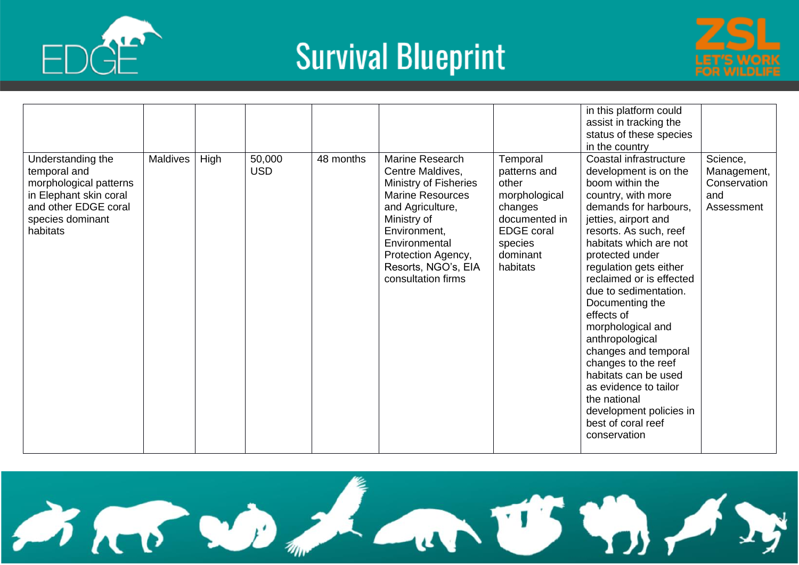





|                                                                                                                                               | <b>Maldives</b> |      | 50,000     | 48 months | Marine Research                                                                                                                                                                                                    |                                                                                                                                        | in this platform could<br>assist in tracking the<br>status of these species<br>in the country<br>Coastal infrastructure                                                                                                                                                                                                                                                                                                                                                                                                         | Science,                                         |
|-----------------------------------------------------------------------------------------------------------------------------------------------|-----------------|------|------------|-----------|--------------------------------------------------------------------------------------------------------------------------------------------------------------------------------------------------------------------|----------------------------------------------------------------------------------------------------------------------------------------|---------------------------------------------------------------------------------------------------------------------------------------------------------------------------------------------------------------------------------------------------------------------------------------------------------------------------------------------------------------------------------------------------------------------------------------------------------------------------------------------------------------------------------|--------------------------------------------------|
| Understanding the<br>temporal and<br>morphological patterns<br>in Elephant skin coral<br>and other EDGE coral<br>species dominant<br>habitats |                 | High | <b>USD</b> |           | Centre Maldives,<br><b>Ministry of Fisheries</b><br><b>Marine Resources</b><br>and Agriculture,<br>Ministry of<br>Environment,<br>Environmental<br>Protection Agency,<br>Resorts, NGO's, EIA<br>consultation firms | Temporal<br>patterns and<br>other<br>morphological<br>changes<br>documented in<br><b>EDGE</b> coral<br>species<br>dominant<br>habitats | development is on the<br>boom within the<br>country, with more<br>demands for harbours,<br>jetties, airport and<br>resorts. As such, reef<br>habitats which are not<br>protected under<br>regulation gets either<br>reclaimed or is effected<br>due to sedimentation.<br>Documenting the<br>effects of<br>morphological and<br>anthropological<br>changes and temporal<br>changes to the reef<br>habitats can be used<br>as evidence to tailor<br>the national<br>development policies in<br>best of coral reef<br>conservation | Management,<br>Conservation<br>and<br>Assessment |

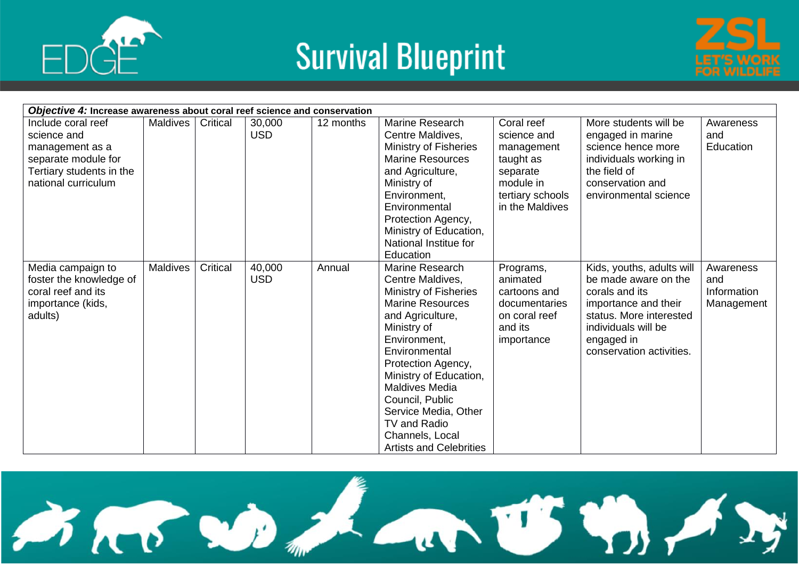





| Objective 4: Increase awareness about coral reef science and conservation                                                      |                 |          |                      |           |                                                                                                                                                                                                                                                                                                                                                      |                                                                                                                      |                                                                                                                                                                                         |                                               |  |
|--------------------------------------------------------------------------------------------------------------------------------|-----------------|----------|----------------------|-----------|------------------------------------------------------------------------------------------------------------------------------------------------------------------------------------------------------------------------------------------------------------------------------------------------------------------------------------------------------|----------------------------------------------------------------------------------------------------------------------|-----------------------------------------------------------------------------------------------------------------------------------------------------------------------------------------|-----------------------------------------------|--|
| Include coral reef<br>science and<br>management as a<br>separate module for<br>Tertiary students in the<br>national curriculum | Maldives        | Critical | 30,000<br><b>USD</b> | 12 months | Marine Research<br>Centre Maldives,<br>Ministry of Fisheries<br><b>Marine Resources</b><br>and Agriculture,<br>Ministry of<br>Environment,<br>Environmental<br>Protection Agency,<br>Ministry of Education,<br>National Institue for<br>Education                                                                                                    | Coral reef<br>science and<br>management<br>taught as<br>separate<br>module in<br>tertiary schools<br>in the Maldives | More students will be<br>engaged in marine<br>science hence more<br>individuals working in<br>the field of<br>conservation and<br>environmental science                                 | Awareness<br>and<br>Education                 |  |
| Media campaign to<br>foster the knowledge of<br>coral reef and its<br>importance (kids,<br>adults)                             | <b>Maldives</b> | Critical | 40,000<br><b>USD</b> | Annual    | Marine Research<br>Centre Maldives,<br>Ministry of Fisheries<br><b>Marine Resources</b><br>and Agriculture,<br>Ministry of<br>Environment,<br>Environmental<br>Protection Agency,<br>Ministry of Education,<br><b>Maldives Media</b><br>Council, Public<br>Service Media, Other<br>TV and Radio<br>Channels, Local<br><b>Artists and Celebrities</b> | Programs,<br>animated<br>cartoons and<br>documentaries<br>on coral reef<br>and its<br>importance                     | Kids, youths, adults will<br>be made aware on the<br>corals and its<br>importance and their<br>status. More interested<br>individuals will be<br>engaged in<br>conservation activities. | Awareness<br>and<br>Information<br>Management |  |

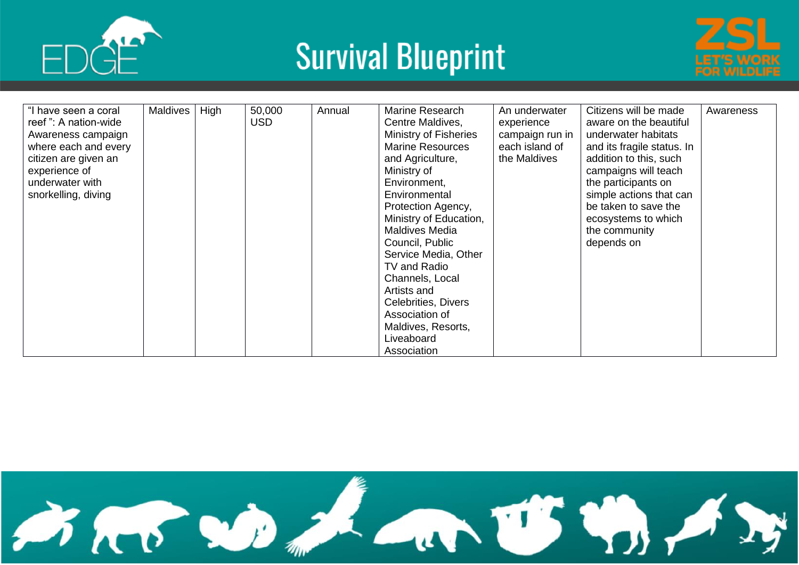





| "I have seen a coral | Maldives | High | 50,000     | Annual | Marine Research              | An underwater   | Citizens will be made      | Awareness |
|----------------------|----------|------|------------|--------|------------------------------|-----------------|----------------------------|-----------|
| reef": A nation-wide |          |      | <b>USD</b> |        | Centre Maldives,             | experience      | aware on the beautiful     |           |
| Awareness campaign   |          |      |            |        | <b>Ministry of Fisheries</b> | campaign run in | underwater habitats        |           |
| where each and every |          |      |            |        | <b>Marine Resources</b>      | each island of  | and its fragile status. In |           |
| citizen are given an |          |      |            |        | and Agriculture,             | the Maldives    | addition to this, such     |           |
| experience of        |          |      |            |        | Ministry of                  |                 | campaigns will teach       |           |
| underwater with      |          |      |            |        | Environment.                 |                 | the participants on        |           |
| snorkelling, diving  |          |      |            |        | Environmental                |                 | simple actions that can    |           |
|                      |          |      |            |        | Protection Agency,           |                 | be taken to save the       |           |
|                      |          |      |            |        | Ministry of Education,       |                 | ecosystems to which        |           |
|                      |          |      |            |        | <b>Maldives Media</b>        |                 | the community              |           |
|                      |          |      |            |        | Council, Public              |                 | depends on                 |           |
|                      |          |      |            |        | Service Media, Other         |                 |                            |           |
|                      |          |      |            |        | TV and Radio                 |                 |                            |           |
|                      |          |      |            |        | Channels, Local              |                 |                            |           |
|                      |          |      |            |        | Artists and                  |                 |                            |           |
|                      |          |      |            |        | Celebrities, Divers          |                 |                            |           |
|                      |          |      |            |        | Association of               |                 |                            |           |
|                      |          |      |            |        | Maldives, Resorts,           |                 |                            |           |
|                      |          |      |            |        | Liveaboard                   |                 |                            |           |
|                      |          |      |            |        | Association                  |                 |                            |           |